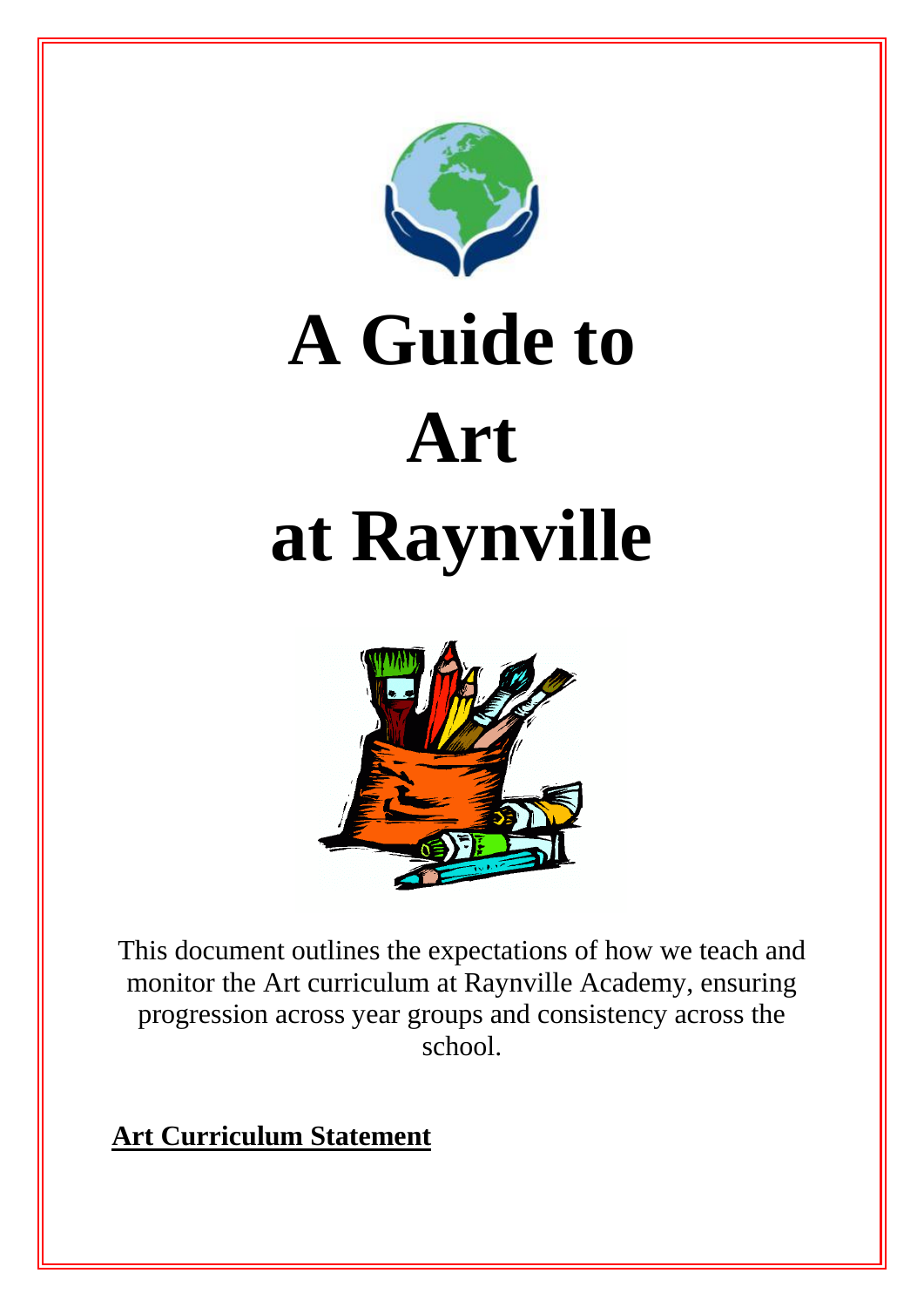

# **A Guide to Art at Raynville**



This document outlines the expectations of how we teach and monitor the Art curriculum at Raynville Academy, ensuring progression across year groups and consistency across the school.

**Art Curriculum Statement**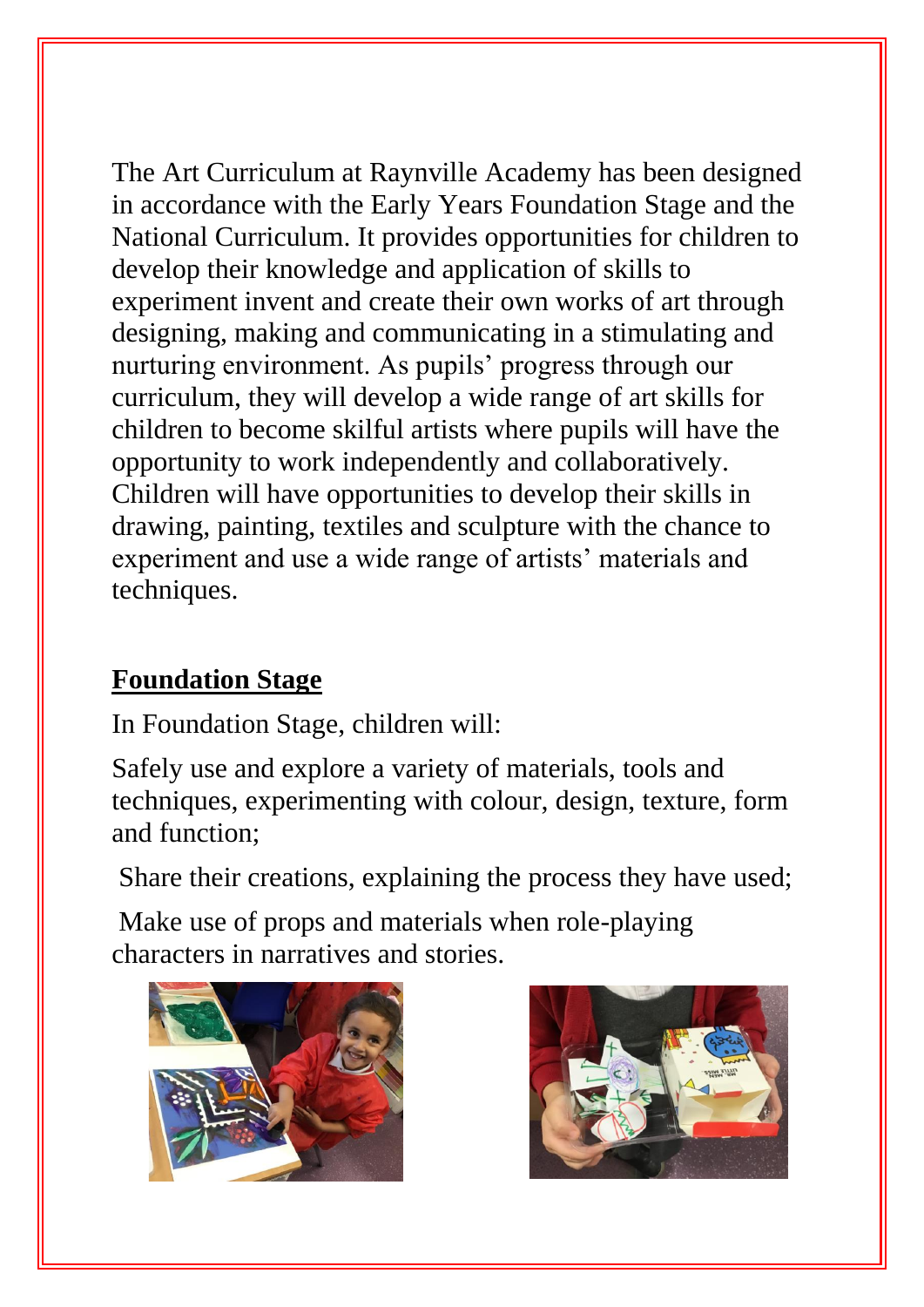The Art Curriculum at Raynville Academy has been designed in accordance with the Early Years Foundation Stage and the National Curriculum. It provides opportunities for children to develop their knowledge and application of skills to experiment invent and create their own works of art through designing, making and communicating in a stimulating and nurturing environment. As pupils' progress through our curriculum, they will develop a wide range of art skills for children to become skilful artists where pupils will have the opportunity to work independently and collaboratively. Children will have opportunities to develop their skills in drawing, painting, textiles and sculpture with the chance to experiment and use a wide range of artists' materials and techniques.

## **Foundation Stage**

In Foundation Stage, children will:

Safely use and explore a variety of materials, tools and techniques, experimenting with colour, design, texture, form and function;

Share their creations, explaining the process they have used;

Make use of props and materials when role-playing characters in narratives and stories.



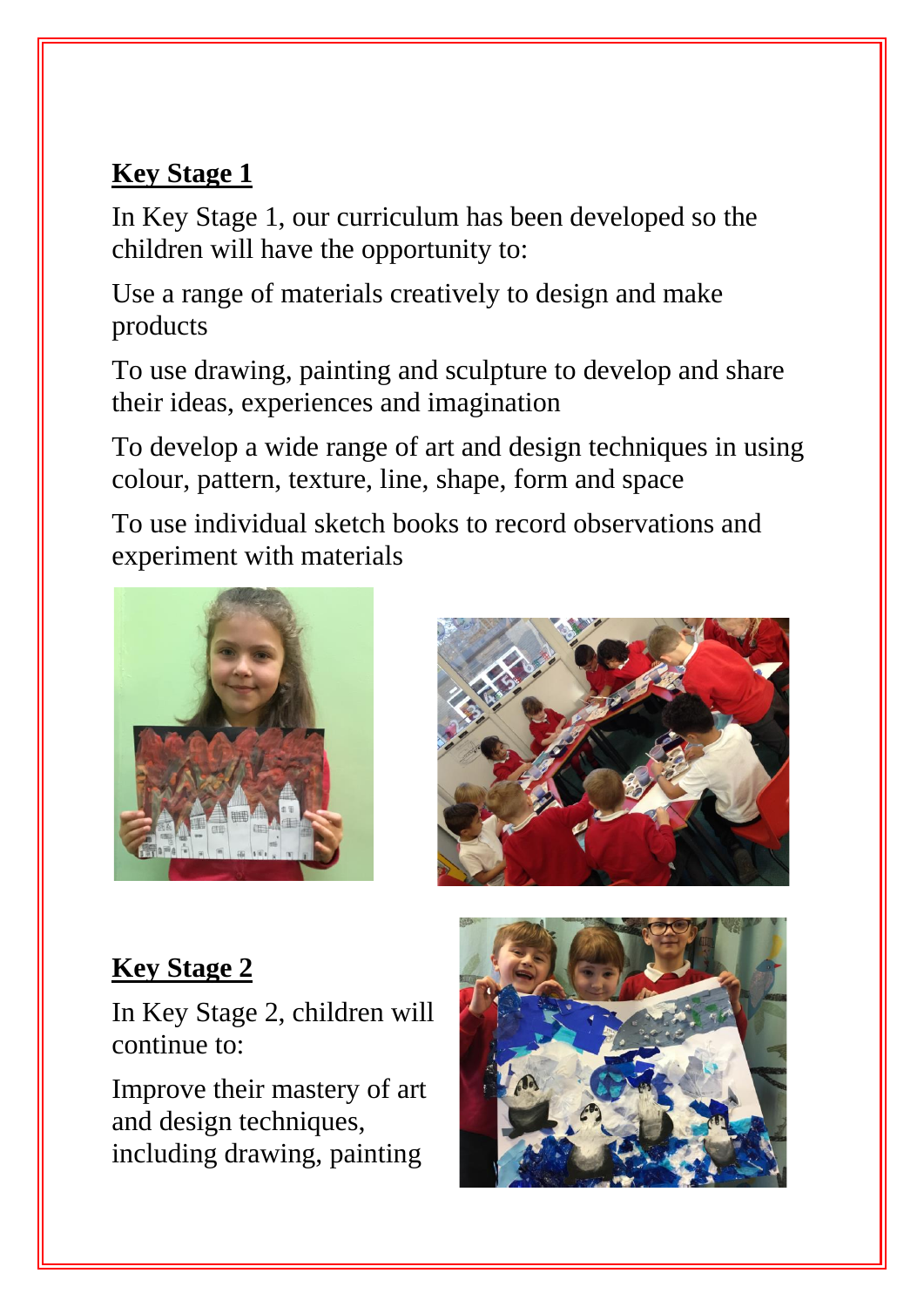## **Key Stage 1**

In Key Stage 1, our curriculum has been developed so the children will have the opportunity to:

Use a range of materials creatively to design and make products

To use drawing, painting and sculpture to develop and share their ideas, experiences and imagination

To develop a wide range of art and design techniques in using colour, pattern, texture, line, shape, form and space

To use individual sketch books to record observations and experiment with materials





# **Key Stage 2**

In Key Stage 2, children will continue to:

Improve their mastery of art and design techniques, including drawing, painting

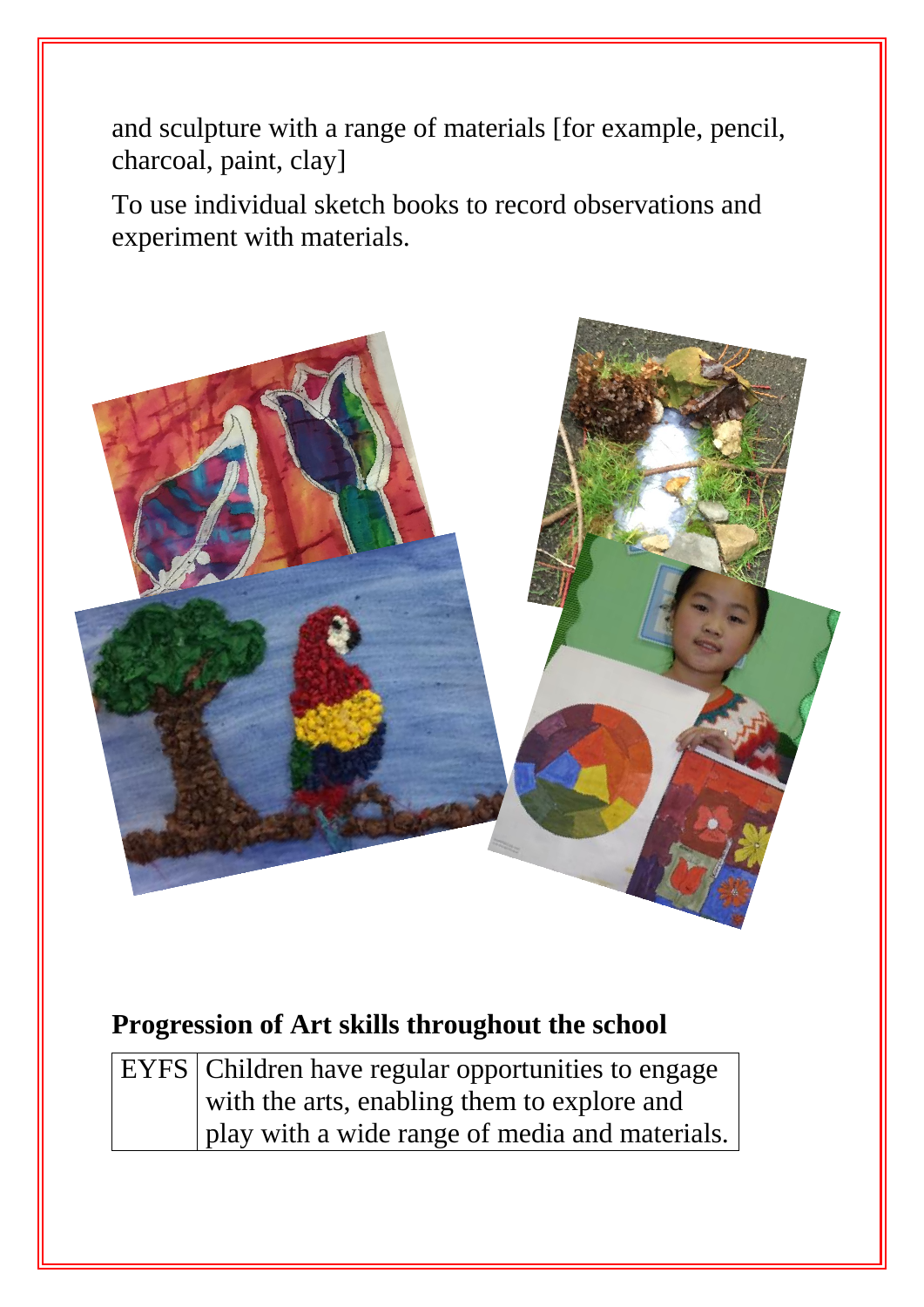and sculpture with a range of materials [for example, pencil, charcoal, paint, clay]

To use individual sketch books to record observations and experiment with materials.



#### **Progression of Art skills throughout the school**

| EYFS   Children have regular opportunities to engage |
|------------------------------------------------------|
| with the arts, enabling them to explore and          |
| play with a wide range of media and materials.       |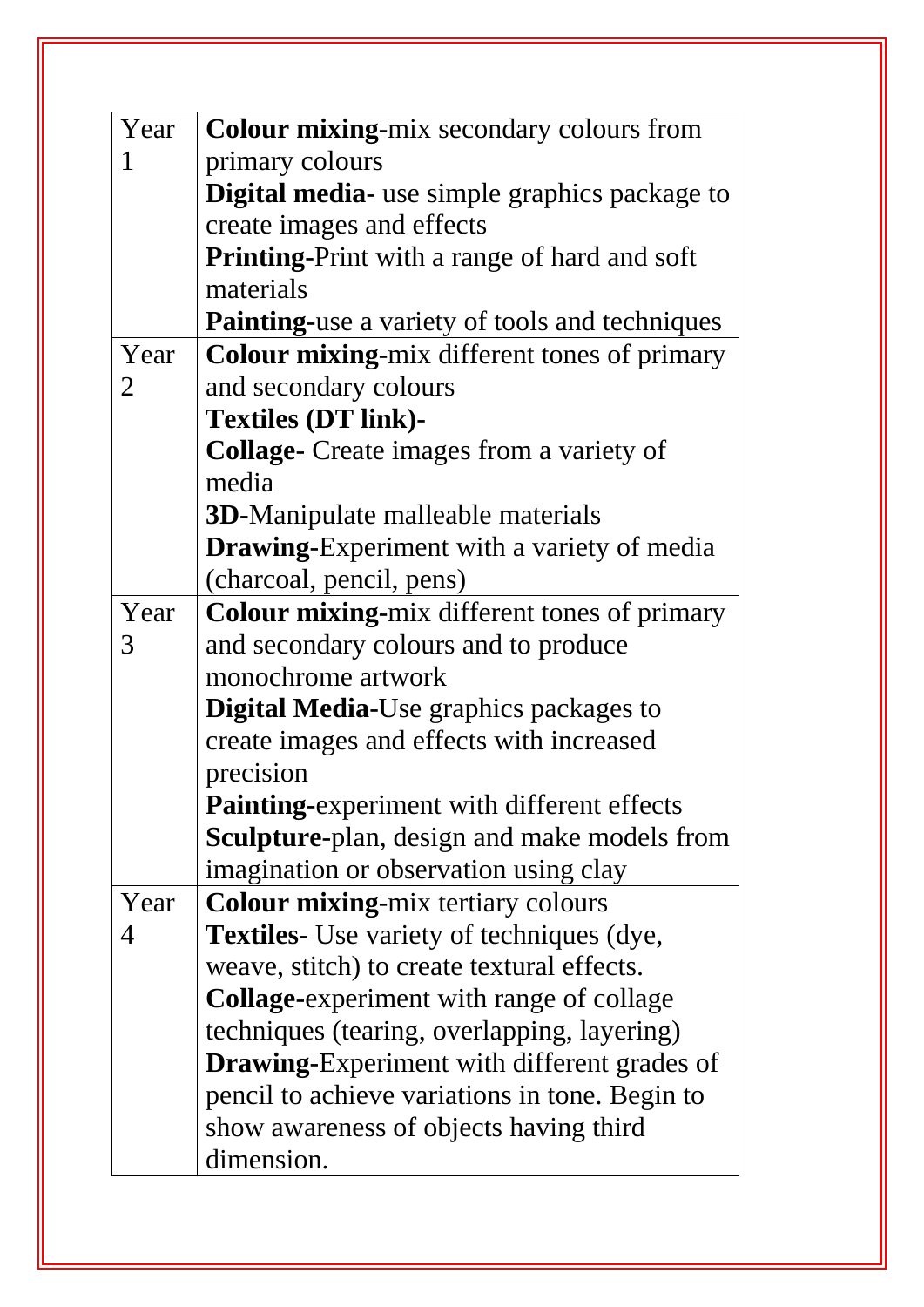| Year | Colour mixing-mix secondary colours from              |
|------|-------------------------------------------------------|
| 1    | primary colours                                       |
|      | Digital media- use simple graphics package to         |
|      | create images and effects                             |
|      | <b>Printing-Print with a range of hard and soft</b>   |
|      | materials                                             |
|      | <b>Painting-use a variety of tools and techniques</b> |
| Year | Colour mixing-mix different tones of primary          |
| 2    | and secondary colours                                 |
|      | <b>Textiles (DT link)-</b>                            |
|      | <b>Collage-</b> Create images from a variety of       |
|      | media                                                 |
|      | <b>3D-Manipulate malleable materials</b>              |
|      | <b>Drawing-Experiment with a variety of media</b>     |
|      | (charcoal, pencil, pens)                              |
| Year | Colour mixing-mix different tones of primary          |
| 3    | and secondary colours and to produce                  |
|      | monochrome artwork                                    |
|      | <b>Digital Media-Use graphics packages to</b>         |
|      | create images and effects with increased              |
|      | precision                                             |
|      | Painting-experiment with different effects            |
|      | <b>Sculpture-plan, design and make models from</b>    |
|      | imagination or observation using clay                 |
| Year | <b>Colour mixing-mix tertiary colours</b>             |
| 4    | <b>Textiles-</b> Use variety of techniques (dye,      |
|      | weave, stitch) to create textural effects.            |
|      | <b>Collage-experiment with range of collage</b>       |
|      | techniques (tearing, overlapping, layering)           |
|      | <b>Drawing-Experiment with different grades of</b>    |
|      | pencil to achieve variations in tone. Begin to        |
|      | show awareness of objects having third                |
|      | dimension.                                            |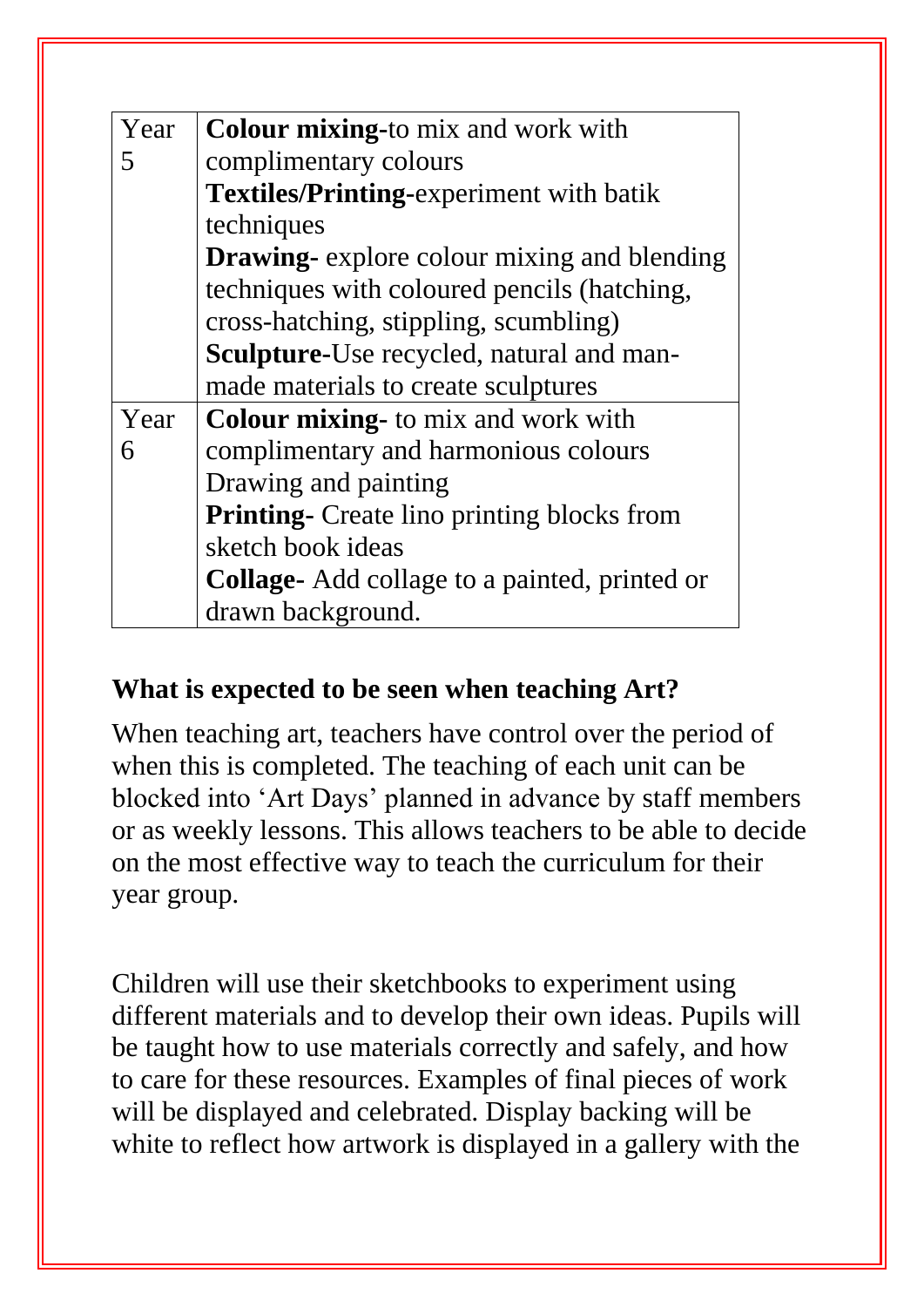| Year | <b>Colour mixing-to mix and work with</b>          |
|------|----------------------------------------------------|
|      | complimentary colours                              |
|      | <b>Textiles/Printing-experiment with batik</b>     |
|      | techniques                                         |
|      | <b>Drawing-</b> explore colour mixing and blending |
|      | techniques with coloured pencils (hatching,        |
|      | cross-hatching, stippling, scumbling)              |
|      | Sculpture-Use recycled, natural and man-           |
|      | made materials to create sculptures                |
| Year | <b>Colour mixing-</b> to mix and work with         |
| 6    | complimentary and harmonious colours               |
|      | Drawing and painting                               |
|      | <b>Printing-</b> Create lino printing blocks from  |
|      | sketch book ideas                                  |
|      | Collage- Add collage to a painted, printed or      |
|      | drawn background.                                  |

#### **What is expected to be seen when teaching Art?**

When teaching art, teachers have control over the period of when this is completed. The teaching of each unit can be blocked into 'Art Days' planned in advance by staff members or as weekly lessons. This allows teachers to be able to decide on the most effective way to teach the curriculum for their year group.

Children will use their sketchbooks to experiment using different materials and to develop their own ideas. Pupils will be taught how to use materials correctly and safely, and how to care for these resources. Examples of final pieces of work will be displayed and celebrated. Display backing will be white to reflect how artwork is displayed in a gallery with the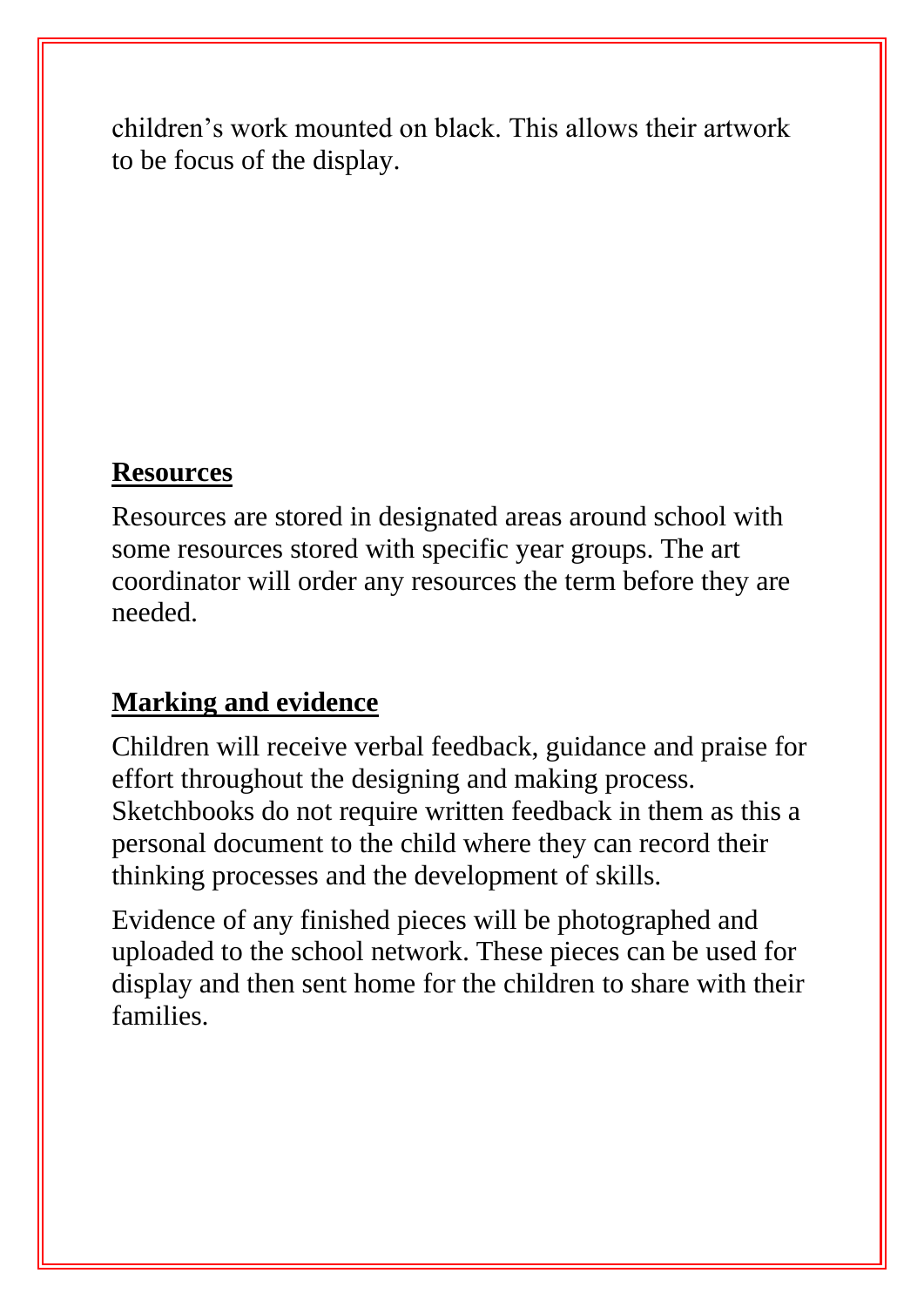children's work mounted on black. This allows their artwork to be focus of the display.

#### **Resources**

Resources are stored in designated areas around school with some resources stored with specific year groups. The art coordinator will order any resources the term before they are needed.

# **Marking and evidence**

Children will receive verbal feedback, guidance and praise for effort throughout the designing and making process. Sketchbooks do not require written feedback in them as this a personal document to the child where they can record their thinking processes and the development of skills.

Evidence of any finished pieces will be photographed and uploaded to the school network. These pieces can be used for display and then sent home for the children to share with their families.